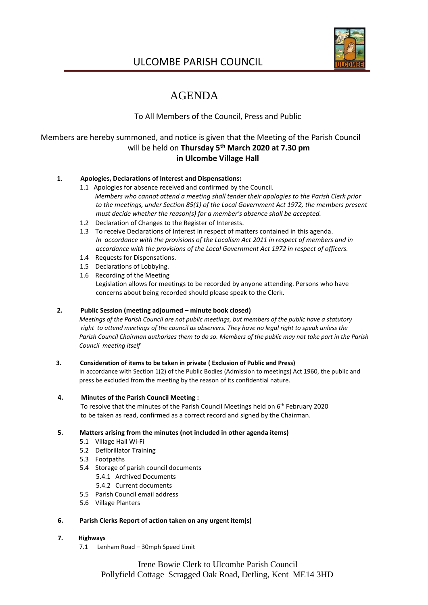

## ULCOMBE PARISH COUNCIL

# AGENDA

## To All Members of the Council, Press and Public

## Members are hereby summoned, and notice is given that the Meeting of the Parish Council will be held on **Thursday 5 th March 2020 at 7.30 pm in Ulcombe Village Hall**

### **1**. **Apologies, Declarations of Interest and Dispensations:**

- 1.1 Apologies for absence received and confirmed by the Council. *Members who cannot attend a meeting shall tender their apologies to the Parish Clerk prior to the meetings, under Section 85(1) of the Local Government Act 1972, the members present must decide whether the reason(s) for a member's absence shall be accepted.*
- 1.2 Declaration of Changes to the Register of Interests.
- 1.3 To receive Declarations of Interest in respect of matters contained in this agenda. *In accordance with the provisions of the Localism Act 2011 in respect of members and in accordance with the provisions of the Local Government Act 1972 in respect of officers.*
- 1.4 Requests for Dispensations.
- 1.5 Declarations of Lobbying.
- 1.6 Recording of the Meeting Legislation allows for meetings to be recorded by anyone attending. Persons who have concerns about being recorded should please speak to the Clerk.

#### **2. Public Session (meeting adjourned – minute book closed)**

 *Meetings of the Parish Council are not public meetings, but members of the public have a statutory right to attend meetings of the council as observers. They have no legal right to speak unless the Parish Council Chairman authorises them to do so. Members of the public may not take part in the Parish Council meeting itself*

#### **3. Consideration of items to be taken in private ( Exclusion of Public and Press)**

 In accordance with Section 1(2) of the Public Bodies (Admission to meetings) Act 1960, the public and press be excluded from the meeting by the reason of its confidential nature.

#### **4. Minutes of the Parish Council Meeting :**

To resolve that the minutes of the Parish Council Meetings held on 6<sup>th</sup> February 2020 to be taken as read, confirmed as a correct record and signed by the Chairman.

#### **5. Matters arising from the minutes (not included in other agenda items)**

- 5.1 Village Hall Wi-Fi
- 5.2 Defibrillator Training
- 5.3 Footpaths
- 5.4 Storage of parish council documents
	- 5.4.1 Archived Documents
	- 5.4.2 Current documents
- 5.5 Parish Council email address
- 5.6 Village Planters

#### **6. Parish Clerks Report of action taken on any urgent item(s)**

#### **7. Highways**

7.1 Lenham Road – 30mph Speed Limit

Irene Bowie Clerk to Ulcombe Parish Council Pollyfield Cottage Scragged Oak Road, Detling, Kent ME14 3HD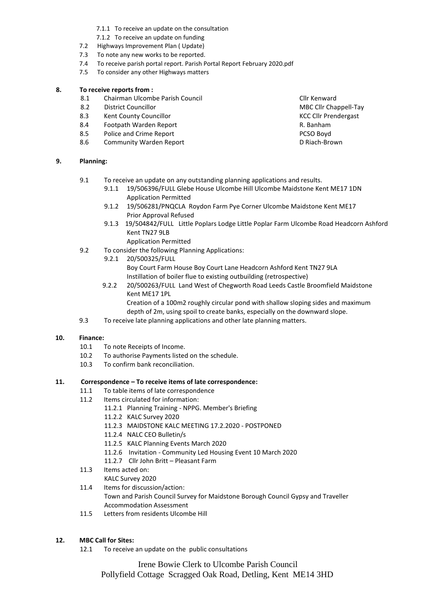- 7.1.1 To receive an update on the consultation
- 7.1.2 To receive an update on funding
- 7.2 Highways Improvement Plan ( Update)
- 7.3 To note any new works to be reported.
- 7.4 To receive parish portal report. Parish Portal Report February 2020.pdf
- 7.5 To consider any other Highways matters

#### **8. To receive reports from :**

- 8.1 Chairman Ulcombe Parish Council Club Council Clir Kenward<br>8.2 District Councillor Club Clir Cha
- 
- 8.3 Kent County Councillor Communication Council County Council County Council County Council County Council County Council County Council County Council County Council County Council County Council County Council County C
- 8.4 Footpath Warden Report **R. Banham**
- 8.5 Police and Crime Report **PCSO Boyd** PCSO Boyd
- 8.6 Community Warden Report **Community Warden Report** Community On Riach-Brown

#### **9. Planning:**

- 9.1 To receive an update on any outstanding planning applications and results.
	- 9.1.1 19/506396/FULL Glebe House Ulcombe Hill Ulcombe Maidstone Kent ME17 1DN Application Permitted
	- 9.1.2 19/506281/PNQCLA Roydon Farm Pye Corner Ulcombe Maidstone Kent ME17 Prior Approval Refused
	- 9.1.3 19/504842/FULL Little Poplars Lodge Little Poplar Farm Ulcombe Road Headcorn Ashford Kent TN27 9LB
		- Application Permitted
- 9.2 To consider the following Planning Applications:
	- 9.2.1 20/500325/FULL Boy Court Farm House Boy Court Lane Headcorn Ashford Kent TN27 9LA
		- Instillation of boiler flue to existing outbuilding (retrospective)
	- 9.2.2 20/500263/FULL Land West of Chegworth Road Leeds Castle Broomfield Maidstone Kent ME17 1PL

 Creation of a 100m2 roughly circular pond with shallow sloping sides and maximum depth of 2m, using spoil to create banks, especially on the downward slope.

9.3 To receive late planning applications and other late planning matters.

#### **10. Finance:**

- 10.1 To note Receipts of Income.
- 10.2 To authorise Payments listed on the schedule.
- 10.3 To confirm bank reconciliation.

#### **11. Correspondence – To receive items of late correspondence:**

- 11.1 To table items of late correspondence
- 11.2 Items circulated for information:
	- 11.2.1 Planning Training NPPG. Member's Briefing
	- 11.2.2 KALC Survey 2020
	- 11.2.3 MAIDSTONE KALC MEETING 17.2.2020 POSTPONED
	- 11.2.4 NALC CEO Bulletin/s
	- 11.2.5 KALC Planning Events March 2020
	- 11.2.6 Invitation Community Led Housing Event 10 March 2020
	- 11.2.7 Cllr John Britt Pleasant Farm
- 11.3 Items acted on:
	- KALC Survey 2020
- 11.4 Items for discussion/action: Town and Parish Council Survey for Maidstone Borough Council Gypsy and Traveller Accommodation Assessment
- 11.5 Letters from residents Ulcombe Hill

#### **12. MBC Call for Sites:**

12.1 To receive an update on the public consultations

Irene Bowie Clerk to Ulcombe Parish Council

Pollyfield Cottage Scragged Oak Road, Detling, Kent ME14 3HD

**District Councillor Council Council Council Council Council Council Council Council Council Council Council Council Council Council Council Council Council Council Council Council Council Council Council Council Council C**